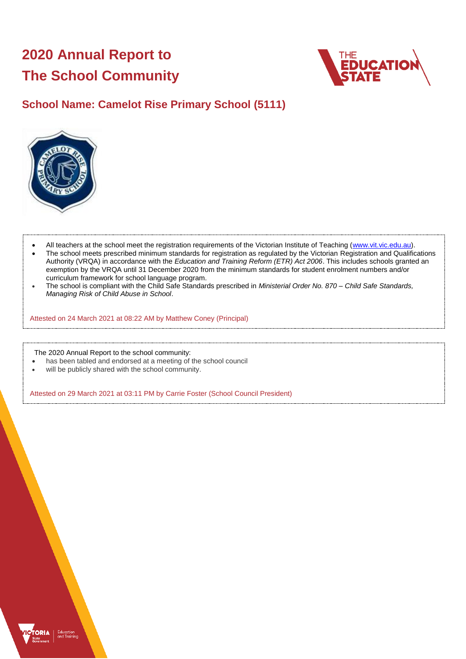# **2020 Annual Report to The School Community**



# **School Name: Camelot Rise Primary School (5111)**



- All teachers at the school meet the registration requirements of the Victorian Institute of Teaching [\(www.vit.vic.edu.au\)](https://www.vit.vic.edu.au/).
- The school meets prescribed minimum standards for registration as regulated by the Victorian Registration and Qualifications Authority (VRQA) in accordance with the *Education and Training Reform (ETR) Act 2006*. This includes schools granted an exemption by the VRQA until 31 December 2020 from the minimum standards for student enrolment numbers and/or curriculum framework for school language program.
- The school is compliant with the Child Safe Standards prescribed in *Ministerial Order No. 870 – Child Safe Standards, Managing Risk of Child Abuse in School*.

Attested on 24 March 2021 at 08:22 AM by Matthew Coney (Principal)

The 2020 Annual Report to the school community:

- has been tabled and endorsed at a meeting of the school council
- will be publicly shared with the school community.

Attested on 29 March 2021 at 03:11 PM by Carrie Foster (School Council President)

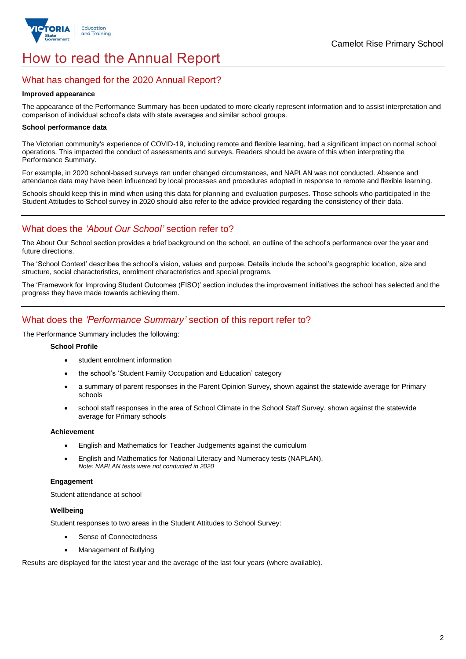

# How to read the Annual Report

# What has changed for the 2020 Annual Report?

#### **Improved appearance**

The appearance of the Performance Summary has been updated to more clearly represent information and to assist interpretation and comparison of individual school's data with state averages and similar school groups.

#### **School performance data**

The Victorian community's experience of COVID-19, including remote and flexible learning, had a significant impact on normal school operations. This impacted the conduct of assessments and surveys. Readers should be aware of this when interpreting the Performance Summary.

For example, in 2020 school-based surveys ran under changed circumstances, and NAPLAN was not conducted. Absence and attendance data may have been influenced by local processes and procedures adopted in response to remote and flexible learning.

Schools should keep this in mind when using this data for planning and evaluation purposes. Those schools who participated in the Student Attitudes to School survey in 2020 should also refer to the advice provided regarding the consistency of their data.

# What does the *'About Our School'* section refer to?

The About Our School section provides a brief background on the school, an outline of the school's performance over the year and future directions.

The 'School Context' describes the school's vision, values and purpose. Details include the school's geographic location, size and structure, social characteristics, enrolment characteristics and special programs.

The 'Framework for Improving Student Outcomes (FISO)' section includes the improvement initiatives the school has selected and the progress they have made towards achieving them.

# What does the *'Performance Summary'* section of this report refer to?

The Performance Summary includes the following:

#### **School Profile**

- student enrolment information
- the school's 'Student Family Occupation and Education' category
- a summary of parent responses in the Parent Opinion Survey, shown against the statewide average for Primary schools
- school staff responses in the area of School Climate in the School Staff Survey, shown against the statewide average for Primary schools

#### **Achievement**

- English and Mathematics for Teacher Judgements against the curriculum
- English and Mathematics for National Literacy and Numeracy tests (NAPLAN). *Note: NAPLAN tests were not conducted in 2020*

### **Engagement**

Student attendance at school

### **Wellbeing**

Student responses to two areas in the Student Attitudes to School Survey:

- Sense of Connectedness
- Management of Bullying

Results are displayed for the latest year and the average of the last four years (where available).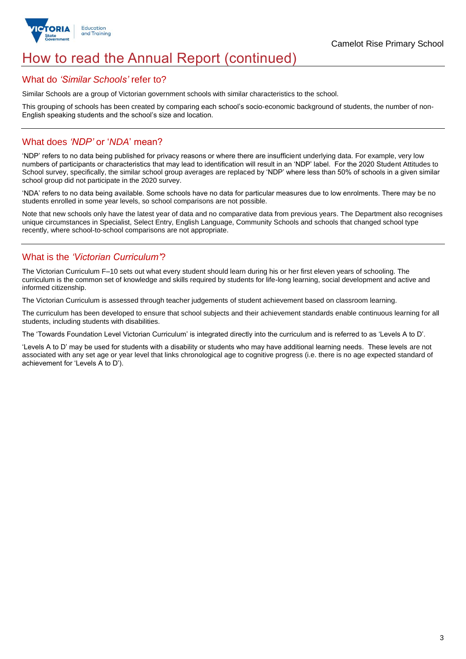

# How to read the Annual Report (continued)

## What do *'Similar Schools'* refer to?

Similar Schools are a group of Victorian government schools with similar characteristics to the school.

This grouping of schools has been created by comparing each school's socio-economic background of students, the number of non-English speaking students and the school's size and location.

# What does *'NDP'* or '*NDA*' mean?

'NDP' refers to no data being published for privacy reasons or where there are insufficient underlying data. For example, very low numbers of participants or characteristics that may lead to identification will result in an 'NDP' label. For the 2020 Student Attitudes to School survey, specifically, the similar school group averages are replaced by 'NDP' where less than 50% of schools in a given similar school group did not participate in the 2020 survey.

'NDA' refers to no data being available. Some schools have no data for particular measures due to low enrolments. There may be no students enrolled in some year levels, so school comparisons are not possible.

Note that new schools only have the latest year of data and no comparative data from previous years. The Department also recognises unique circumstances in Specialist, Select Entry, English Language, Community Schools and schools that changed school type recently, where school-to-school comparisons are not appropriate.

# What is the *'Victorian Curriculum'*?

The Victorian Curriculum F–10 sets out what every student should learn during his or her first eleven years of schooling. The curriculum is the common set of knowledge and skills required by students for life-long learning, social development and active and informed citizenship.

The Victorian Curriculum is assessed through teacher judgements of student achievement based on classroom learning.

The curriculum has been developed to ensure that school subjects and their achievement standards enable continuous learning for all students, including students with disabilities.

The 'Towards Foundation Level Victorian Curriculum' is integrated directly into the curriculum and is referred to as 'Levels A to D'.

'Levels A to D' may be used for students with a disability or students who may have additional learning needs. These levels are not associated with any set age or year level that links chronological age to cognitive progress (i.e. there is no age expected standard of achievement for 'Levels A to D').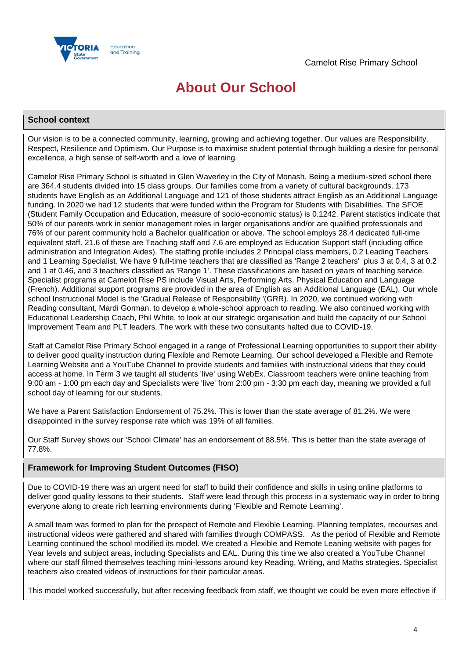

# **About Our School**

### **School context**

Our vision is to be a connected community, learning, growing and achieving together. Our values are Responsibility, Respect, Resilience and Optimism. Our Purpose is to maximise student potential through building a desire for personal excellence, a high sense of self-worth and a love of learning.

Camelot Rise Primary School is situated in Glen Waverley in the City of Monash. Being a medium-sized school there are 364.4 students divided into 15 class groups. Our families come from a variety of cultural backgrounds. 173 students have English as an Additional Language and 121 of those students attract English as an Additional Language funding. In 2020 we had 12 students that were funded within the Program for Students with Disabilities. The SFOE (Student Family Occupation and Education, measure of socio-economic status) is 0.1242. Parent statistics indicate that 50% of our parents work in senior management roles in larger organisations and/or are qualified professionals and 76% of our parent community hold a Bachelor qualification or above. The school employs 28.4 dedicated full-time equivalent staff. 21.6 of these are Teaching staff and 7.6 are employed as Education Support staff (including office administration and Integration Aides). The staffing profile includes 2 Principal class members, 0.2 Leading Teachers and 1 Learning Specialist. We have 9 full-time teachers that are classified as 'Range 2 teachers' plus 3 at 0.4, 3 at 0.2 and 1 at 0.46, and 3 teachers classified as 'Range 1'. These classifications are based on years of teaching service. Specialist programs at Camelot Rise PS include Visual Arts, Performing Arts, Physical Education and Language (French). Additional support programs are provided in the area of English as an Additional Language (EAL). Our whole school Instructional Model is the 'Gradual Release of Responsibility '(GRR). In 2020, we continued working with Reading consultant, Mardi Gorman, to develop a whole-school approach to reading. We also continued working with Educational Leadership Coach, Phil White, to look at our strategic organisation and build the capacity of our School Improvement Team and PLT leaders. The work with these two consultants halted due to COVID-19.

Staff at Camelot Rise Primary School engaged in a range of Professional Learning opportunities to support their ability to deliver good quality instruction during Flexible and Remote Learning. Our school developed a Flexible and Remote Learning Website and a YouTube Channel to provide students and families with instructional videos that they could access at home. In Term 3 we taught all students 'live' using WebEx. Classroom teachers were online teaching from 9:00 am - 1:00 pm each day and Specialists were 'live' from 2:00 pm - 3:30 pm each day, meaning we provided a full school day of learning for our students.

We have a Parent Satisfaction Endorsement of 75.2%. This is lower than the state average of 81.2%. We were disappointed in the survey response rate which was 19% of all families.

Our Staff Survey shows our 'School Climate' has an endorsement of 88.5%. This is better than the state average of 77.8%.

## **Framework for Improving Student Outcomes (FISO)**

Due to COVID-19 there was an urgent need for staff to build their confidence and skills in using online platforms to deliver good quality lessons to their students. Staff were lead through this process in a systematic way in order to bring everyone along to create rich learning environments during 'Flexible and Remote Learning'.

A small team was formed to plan for the prospect of Remote and Flexible Learning. Planning templates, recourses and instructional videos were gathered and shared with families through COMPASS. As the period of Flexible and Remote Learning continued the school modified its model. We created a Flexible and Remote Leaning website with pages for Year levels and subject areas, including Specialists and EAL. During this time we also created a YouTube Channel where our staff filmed themselves teaching mini-lessons around key Reading, Writing, and Maths strategies. Specialist teachers also created videos of instructions for their particular areas.

This model worked successfully, but after receiving feedback from staff, we thought we could be even more effective if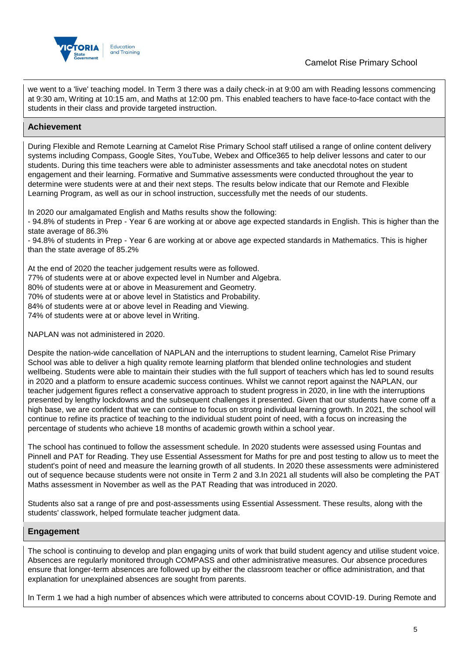

we went to a 'live' teaching model. In Term 3 there was a daily check-in at 9:00 am with Reading lessons commencing at 9:30 am, Writing at 10:15 am, and Maths at 12:00 pm. This enabled teachers to have face-to-face contact with the students in their class and provide targeted instruction.

# **Achievement**

During Flexible and Remote Learning at Camelot Rise Primary School staff utilised a range of online content delivery systems including Compass, Google Sites, YouTube, Webex and Office365 to help deliver lessons and cater to our students. During this time teachers were able to administer assessments and take anecdotal notes on student engagement and their learning. Formative and Summative assessments were conducted throughout the year to determine were students were at and their next steps. The results below indicate that our Remote and Flexible Learning Program, as well as our in school instruction, successfully met the needs of our students.

In 2020 our amalgamated English and Maths results show the following:

- 94.8% of students in Prep - Year 6 are working at or above age expected standards in English. This is higher than the state average of 86.3%

- 94.8% of students in Prep - Year 6 are working at or above age expected standards in Mathematics. This is higher than the state average of 85.2%

At the end of 2020 the teacher judgement results were as followed.

77% of students were at or above expected level in Number and Algebra.

80% of students were at or above in Measurement and Geometry.

70% of students were at or above level in Statistics and Probability.

84% of students were at or above level in Reading and Viewing.

74% of students were at or above level in Writing.

NAPLAN was not administered in 2020.

Despite the nation-wide cancellation of NAPLAN and the interruptions to student learning, Camelot Rise Primary School was able to deliver a high quality remote learning platform that blended online technologies and student wellbeing. Students were able to maintain their studies with the full support of teachers which has led to sound results in 2020 and a platform to ensure academic success continues. Whilst we cannot report against the NAPLAN, our teacher judgement figures reflect a conservative approach to student progress in 2020, in line with the interruptions presented by lengthy lockdowns and the subsequent challenges it presented. Given that our students have come off a high base, we are confident that we can continue to focus on strong individual learning growth. In 2021, the school will continue to refine its practice of teaching to the individual student point of need, with a focus on increasing the percentage of students who achieve 18 months of academic growth within a school year.

The school has continued to follow the assessment schedule. In 2020 students were assessed using Fountas and Pinnell and PAT for Reading. They use Essential Assessment for Maths for pre and post testing to allow us to meet the student's point of need and measure the learning growth of all students. In 2020 these assessments were administered out of sequence because students were not onsite in Term 2 and 3.In 2021 all students will also be completing the PAT Maths assessment in November as well as the PAT Reading that was introduced in 2020.

Students also sat a range of pre and post-assessments using Essential Assessment. These results, along with the students' classwork, helped formulate teacher judgment data.

### **Engagement**

The school is continuing to develop and plan engaging units of work that build student agency and utilise student voice. Absences are regularly monitored through COMPASS and other administrative measures. Our absence procedures ensure that longer-term absences are followed up by either the classroom teacher or office administration, and that explanation for unexplained absences are sought from parents.

In Term 1 we had a high number of absences which were attributed to concerns about COVID-19. During Remote and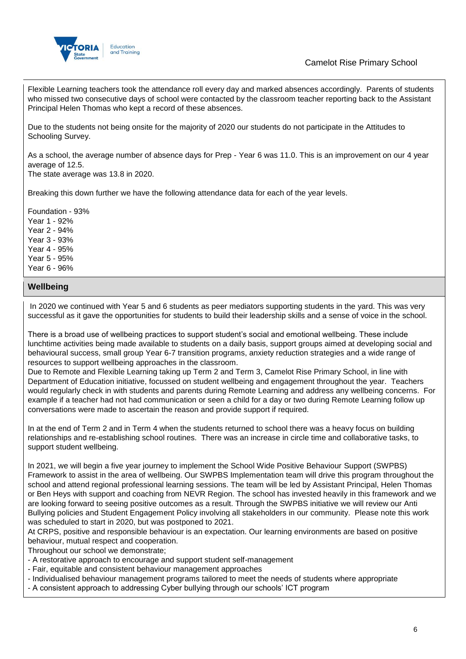

# Camelot Rise Primary School

Flexible Learning teachers took the attendance roll every day and marked absences accordingly. Parents of students who missed two consecutive days of school were contacted by the classroom teacher reporting back to the Assistant Principal Helen Thomas who kept a record of these absences.

Due to the students not being onsite for the majority of 2020 our students do not participate in the Attitudes to Schooling Survey.

As a school, the average number of absence days for Prep - Year 6 was 11.0. This is an improvement on our 4 year average of 12.5.

The state average was 13.8 in 2020.

Breaking this down further we have the following attendance data for each of the year levels.

Foundation - 93% Year 1 - 92% Year 2 - 94% Year 3 - 93% Year 4 - 95% Year 5 - 95% Year 6 - 96%

## **Wellbeing**

In 2020 we continued with Year 5 and 6 students as peer mediators supporting students in the yard. This was very successful as it gave the opportunities for students to build their leadership skills and a sense of voice in the school.

There is a broad use of wellbeing practices to support student's social and emotional wellbeing. These include lunchtime activities being made available to students on a daily basis, support groups aimed at developing social and behavioural success, small group Year 6-7 transition programs, anxiety reduction strategies and a wide range of resources to support wellbeing approaches in the classroom.

Due to Remote and Flexible Learning taking up Term 2 and Term 3, Camelot Rise Primary School, in line with Department of Education initiative, focussed on student wellbeing and engagement throughout the year. Teachers would regularly check in with students and parents during Remote Learning and address any wellbeing concerns. For example if a teacher had not had communication or seen a child for a day or two during Remote Learning follow up conversations were made to ascertain the reason and provide support if required.

In at the end of Term 2 and in Term 4 when the students returned to school there was a heavy focus on building relationships and re-establishing school routines. There was an increase in circle time and collaborative tasks, to support student wellbeing.

In 2021, we will begin a five year journey to implement the School Wide Positive Behaviour Support (SWPBS) Framework to assist in the area of wellbeing. Our SWPBS Implementation team will drive this program throughout the school and attend regional professional learning sessions. The team will be led by Assistant Principal, Helen Thomas or Ben Heys with support and coaching from NEVR Region. The school has invested heavily in this framework and we are looking forward to seeing positive outcomes as a result. Through the SWPBS initiative we will review our Anti Bullying policies and Student Engagement Policy involving all stakeholders in our community. Please note this work was scheduled to start in 2020, but was postponed to 2021.

At CRPS, positive and responsible behaviour is an expectation. Our learning environments are based on positive behaviour, mutual respect and cooperation.

Throughout our school we demonstrate;

- A restorative approach to encourage and support student self-management
- Fair, equitable and consistent behaviour management approaches
- Individualised behaviour management programs tailored to meet the needs of students where appropriate
- A consistent approach to addressing Cyber bullying through our schools' ICT program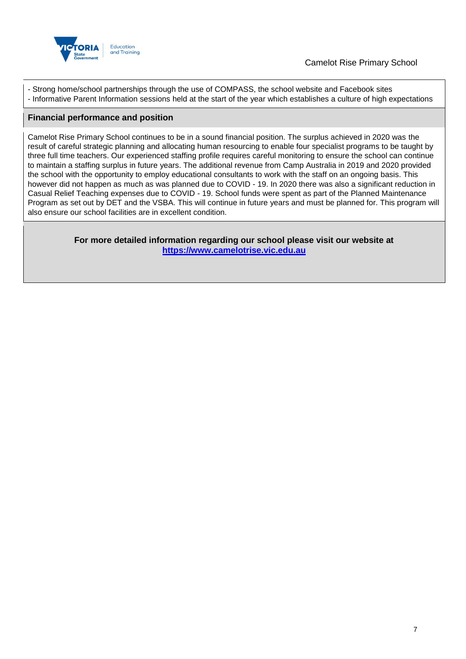

- Strong home/school partnerships through the use of COMPASS, the school website and Facebook sites - Informative Parent Information sessions held at the start of the year which establishes a culture of high expectations

## **Financial performance and position**

Camelot Rise Primary School continues to be in a sound financial position. The surplus achieved in 2020 was the result of careful strategic planning and allocating human resourcing to enable four specialist programs to be taught by three full time teachers. Our experienced staffing profile requires careful monitoring to ensure the school can continue to maintain a staffing surplus in future years. The additional revenue from Camp Australia in 2019 and 2020 provided the school with the opportunity to employ educational consultants to work with the staff on an ongoing basis. This however did not happen as much as was planned due to COVID - 19. In 2020 there was also a significant reduction in Casual Relief Teaching expenses due to COVID - 19. School funds were spent as part of the Planned Maintenance Program as set out by DET and the VSBA. This will continue in future years and must be planned for. This program will also ensure our school facilities are in excellent condition.

> **For more detailed information regarding our school please visit our website at [https://www.camelotrise.vic.edu.au](https://www.camelotrise.vic.edu.au/)**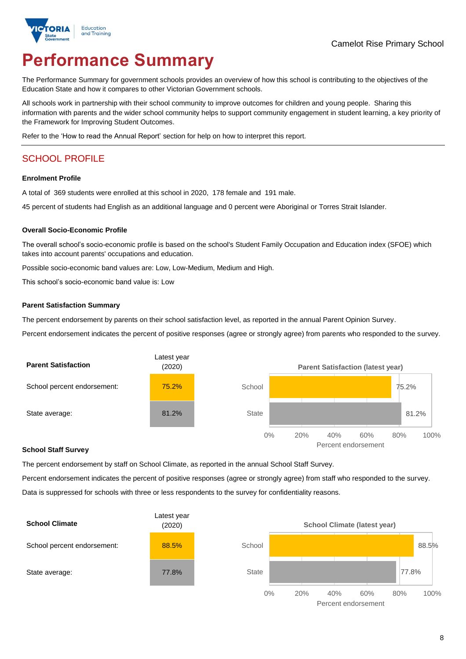

# **Performance Summary**

The Performance Summary for government schools provides an overview of how this school is contributing to the objectives of the Education State and how it compares to other Victorian Government schools.

All schools work in partnership with their school community to improve outcomes for children and young people. Sharing this information with parents and the wider school community helps to support community engagement in student learning, a key priority of the Framework for Improving Student Outcomes.

Refer to the 'How to read the Annual Report' section for help on how to interpret this report.

# SCHOOL PROFILE

#### **Enrolment Profile**

A total of 369 students were enrolled at this school in 2020, 178 female and 191 male.

45 percent of students had English as an additional language and 0 percent were Aboriginal or Torres Strait Islander.

### **Overall Socio-Economic Profile**

The overall school's socio-economic profile is based on the school's Student Family Occupation and Education index (SFOE) which takes into account parents' occupations and education.

Possible socio-economic band values are: Low, Low-Medium, Medium and High.

This school's socio-economic band value is: Low

#### **Parent Satisfaction Summary**

The percent endorsement by parents on their school satisfaction level, as reported in the annual Parent Opinion Survey.

Percent endorsement indicates the percent of positive responses (agree or strongly agree) from parents who responded to the survey.



#### **School Staff Survey**

The percent endorsement by staff on School Climate, as reported in the annual School Staff Survey.

Percent endorsement indicates the percent of positive responses (agree or strongly agree) from staff who responded to the survey. Data is suppressed for schools with three or less respondents to the survey for confidentiality reasons.



Percent endorsement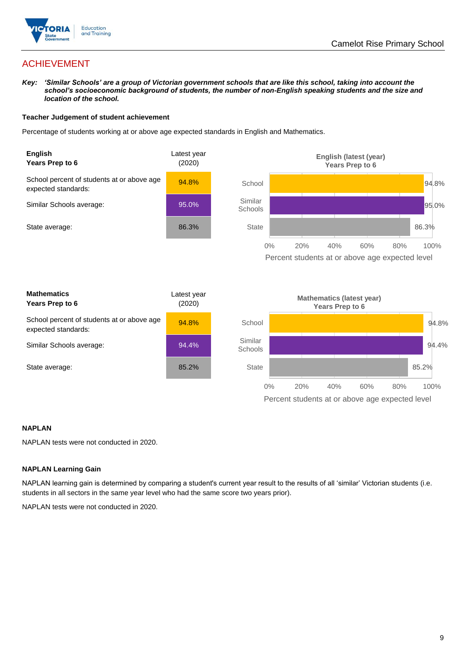

# ACHIEVEMENT

*Key: 'Similar Schools' are a group of Victorian government schools that are like this school, taking into account the school's socioeconomic background of students, the number of non-English speaking students and the size and location of the school.*

### **Teacher Judgement of student achievement**

Percentage of students working at or above age expected standards in English and Mathematics.



### **NAPLAN**

NAPLAN tests were not conducted in 2020.

### **NAPLAN Learning Gain**

NAPLAN learning gain is determined by comparing a student's current year result to the results of all 'similar' Victorian students (i.e. students in all sectors in the same year level who had the same score two years prior).

NAPLAN tests were not conducted in 2020.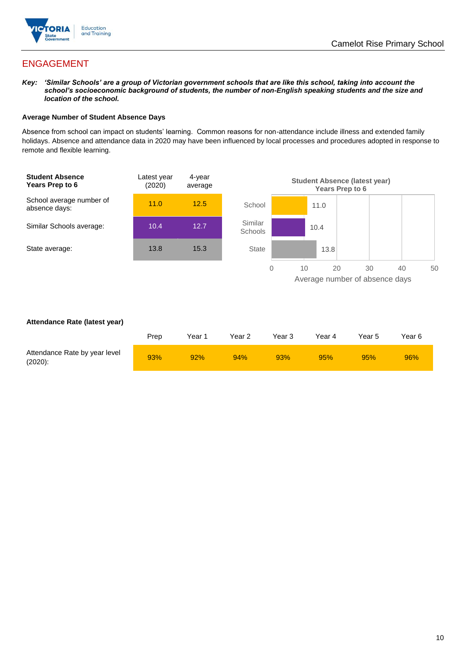

# ENGAGEMENT

*Key: 'Similar Schools' are a group of Victorian government schools that are like this school, taking into account the school's socioeconomic background of students, the number of non-English speaking students and the size and location of the school.*

### **Average Number of Student Absence Days**

Absence from school can impact on students' learning. Common reasons for non-attendance include illness and extended family holidays. Absence and attendance data in 2020 may have been influenced by local processes and procedures adopted in response to remote and flexible learning.



### **Attendance Rate (latest year)**

|                                             | Prep | Year 1 | Year 2 | Year 3 | Year 4 | Year 5 | Year 6 |
|---------------------------------------------|------|--------|--------|--------|--------|--------|--------|
| Attendance Rate by year level<br>$(2020)$ : | 93%  | 92%    | 94%    | 93%    | 95%    | 95%    | 96%    |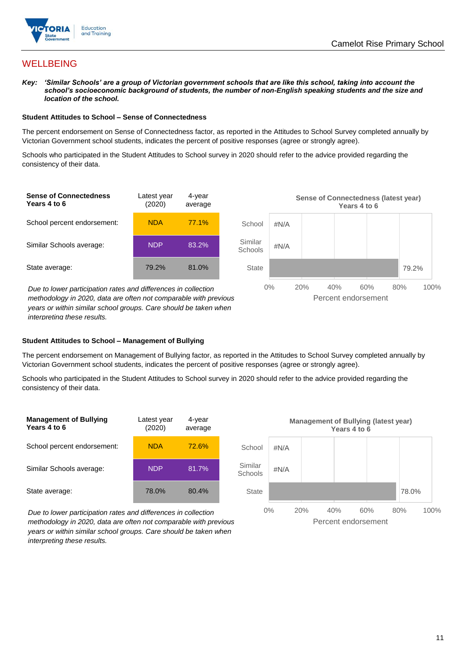

# **WELLBEING**

*Key: 'Similar Schools' are a group of Victorian government schools that are like this school, taking into account the school's socioeconomic background of students, the number of non-English speaking students and the size and location of the school.*

#### **Student Attitudes to School – Sense of Connectedness**

The percent endorsement on Sense of Connectedness factor, as reported in the Attitudes to School Survey completed annually by Victorian Government school students, indicates the percent of positive responses (agree or strongly agree).

Schools who participated in the Student Attitudes to School survey in 2020 should refer to the advice provided regarding the consistency of their data.



*methodology in 2020, data are often not comparable with previous years or within similar school groups. Care should be taken when interpreting these results.*

### **Student Attitudes to School – Management of Bullying**

The percent endorsement on Management of Bullying factor, as reported in the Attitudes to School Survey completed annually by Victorian Government school students, indicates the percent of positive responses (agree or strongly agree).

Schools who participated in the Student Attitudes to School survey in 2020 should refer to the advice provided regarding the consistency of their data.



*Due to lower participation rates and differences in collection methodology in 2020, data are often not comparable with previous years or within similar school groups. Care should be taken when interpreting these results.*

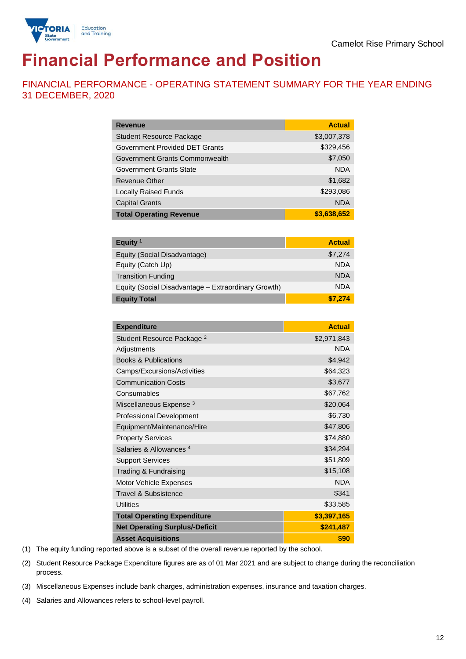

# **Financial Performance and Position**

FINANCIAL PERFORMANCE - OPERATING STATEMENT SUMMARY FOR THE YEAR ENDING 31 DECEMBER, 2020

| <b>Revenue</b>                  | <b>Actual</b> |
|---------------------------------|---------------|
| <b>Student Resource Package</b> | \$3,007,378   |
| Government Provided DET Grants  | \$329,456     |
| Government Grants Commonwealth  | \$7,050       |
| <b>Government Grants State</b>  | <b>NDA</b>    |
| <b>Revenue Other</b>            | \$1,682       |
| <b>Locally Raised Funds</b>     | \$293,086     |
| <b>Capital Grants</b>           | <b>NDA</b>    |
| <b>Total Operating Revenue</b>  | \$3,638,652   |

| Equity <sup>1</sup>                                 | <b>Actual</b> |
|-----------------------------------------------------|---------------|
| Equity (Social Disadvantage)                        | \$7,274       |
| Equity (Catch Up)                                   | <b>NDA</b>    |
| <b>Transition Funding</b>                           | <b>NDA</b>    |
| Equity (Social Disadvantage - Extraordinary Growth) | <b>NDA</b>    |
| <b>Equity Total</b>                                 | \$7.274       |

| <b>Expenditure</b>                    | <b>Actual</b> |
|---------------------------------------|---------------|
| Student Resource Package <sup>2</sup> | \$2,971,843   |
| Adjustments                           | <b>NDA</b>    |
| <b>Books &amp; Publications</b>       | \$4,942       |
| Camps/Excursions/Activities           | \$64,323      |
| <b>Communication Costs</b>            | \$3,677       |
| Consumables                           | \$67,762      |
| Miscellaneous Expense <sup>3</sup>    | \$20,064      |
| <b>Professional Development</b>       | \$6,730       |
| Equipment/Maintenance/Hire            | \$47,806      |
| <b>Property Services</b>              | \$74,880      |
| Salaries & Allowances <sup>4</sup>    | \$34,294      |
| <b>Support Services</b>               | \$51,809      |
| Trading & Fundraising                 | \$15,108      |
| Motor Vehicle Expenses                | <b>NDA</b>    |
| Travel & Subsistence                  | \$341         |
| <b>Utilities</b>                      | \$33,585      |
| <b>Total Operating Expenditure</b>    | \$3,397,165   |
| <b>Net Operating Surplus/-Deficit</b> | \$241,487     |
| <b>Asset Acquisitions</b>             | \$90          |

(1) The equity funding reported above is a subset of the overall revenue reported by the school.

(2) Student Resource Package Expenditure figures are as of 01 Mar 2021 and are subject to change during the reconciliation process.

(3) Miscellaneous Expenses include bank charges, administration expenses, insurance and taxation charges.

(4) Salaries and Allowances refers to school-level payroll.